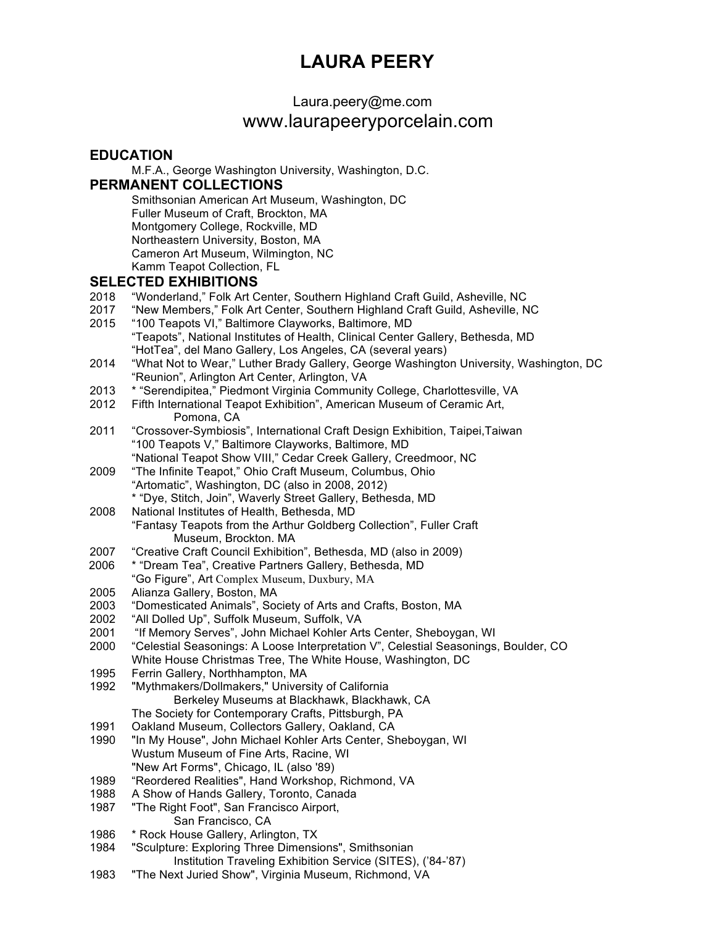# **LAURA PEERY**

# Laura.peery@me.com

## www.laurapeeryporcelain.com

#### **EDUCATION** M.F.A., George Washington University, Washington, D.C. **PERMANENT COLLECTIONS** Smithsonian American Art Museum, Washington, DC Fuller Museum of Craft, Brockton, MA Montgomery College, Rockville, MD Northeastern University, Boston, MA Cameron Art Museum, Wilmington, NC Kamm Teapot Collection, FL **SELECTED EXHIBITIONS** 2018 "Wonderland," Folk Art Center, Southern Highland Craft Guild, Asheville, NC 2017 "New Members," Folk Art Center, Southern Highland Craft Guild, Asheville, NC 2015 "100 Teapots VI," Baltimore Clayworks, Baltimore, MD "Teapots", National Institutes of Health, Clinical Center Gallery, Bethesda, MD "HotTea", del Mano Gallery, Los Angeles, CA (several years) 2014 "What Not to Wear," Luther Brady Gallery, George Washington University, Washington, DC "Reunion", Arlington Art Center, Arlington, VA 2013 \* "Serendipitea," Piedmont Virginia Community College, Charlottesville, VA 2012 Fifth International Teapot Exhibition", American Museum of Ceramic Art, Pomona, CA 2011 "Crossover-Symbiosis", International Craft Design Exhibition, Taipei,Taiwan "100 Teapots V," Baltimore Clayworks, Baltimore, MD "National Teapot Show VIII," Cedar Creek Gallery, Creedmoor, NC 2009 "The Infinite Teapot," Ohio Craft Museum, Columbus, Ohio "Artomatic", Washington, DC (also in 2008, 2012) \* "Dye, Stitch, Join", Waverly Street Gallery, Bethesda, MD 2008 National Institutes of Health, Bethesda, MD "Fantasy Teapots from the Arthur Goldberg Collection", Fuller Craft Museum, Brockton. MA 2007 "Creative Craft Council Exhibition", Bethesda, MD (also in 2009) 2006 \* "Dream Tea", Creative Partners Gallery, Bethesda, MD "Go Figure", Art Complex Museum, Duxbury, MA Alianza Gallery, Boston, MA 2003 "Domesticated Animals", Society of Arts and Crafts, Boston, MA 2002 "All Dolled Up", Suffolk Museum, Suffolk, VA 2001 "If Memory Serves", John Michael Kohler Arts Center, Sheboygan, WI 2000 "Celestial Seasonings: A Loose Interpretation V", Celestial Seasonings, Boulder, CO White House Christmas Tree, The White House, Washington, DC 1995 Ferrin Gallery, Northhampton, MA 1992 "Mythmakers/Dollmakers," University of California Berkeley Museums at Blackhawk, Blackhawk, CA The Society for Contemporary Crafts, Pittsburgh, PA 1991 Oakland Museum, Collectors Gallery, Oakland, CA 1990 "In My House", John Michael Kohler Arts Center, Sheboygan, WI Wustum Museum of Fine Arts, Racine, WI "New Art Forms", Chicago, IL (also '89) 1989 "Reordered Realities", Hand Workshop, Richmond, VA 1988 A Show of Hands Gallery, Toronto, Canada 1987 "The Right Foot", San Francisco Airport, San Francisco, CA 1986 \* Rock House Gallery, Arlington, TX 1984 "Sculpture: Exploring Three Dimensions", Smithsonian Institution Traveling Exhibition Service (SITES), ('84-'87)

1983 "The Next Juried Show", Virginia Museum, Richmond, VA